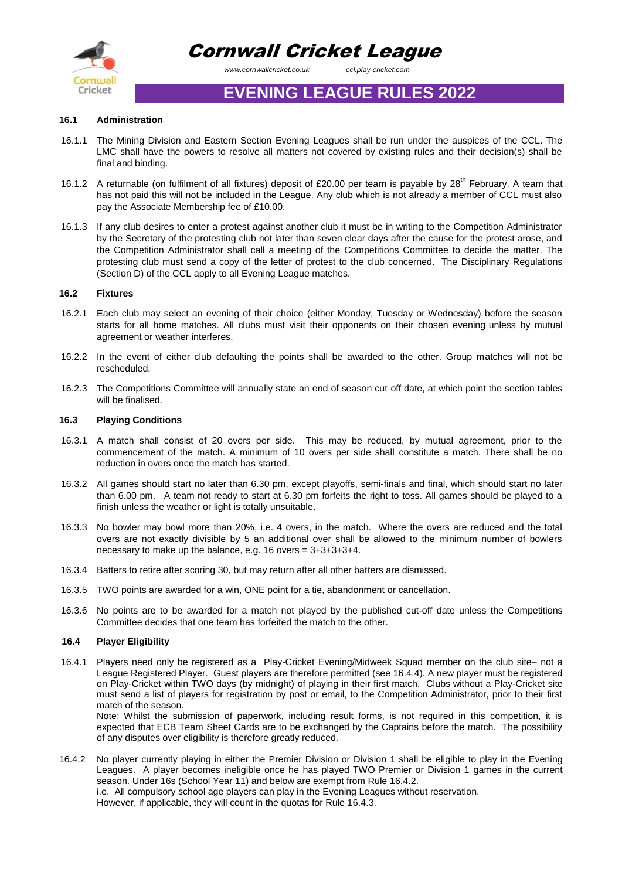

Cornwall Cricket League

 *www.cornwallcricket.co.uk ccl.play-cricket.com*

# **EVENING LEAGUE RULES 2022**

# **16.1 Administration**

- 16.1.1 The Mining Division and Eastern Section Evening Leagues shall be run under the auspices of the CCL. The LMC shall have the powers to resolve all matters not covered by existing rules and their decision(s) shall be final and binding.
- 16.1.2 A returnable (on fulfilment of all fixtures) deposit of £20.00 per team is payable by  $28<sup>th</sup>$  February. A team that has not paid this will not be included in the League. Any club which is not already a member of CCL must also pay the Associate Membership fee of £10.00.
- 16.1.3 If any club desires to enter a protest against another club it must be in writing to the Competition Administrator by the Secretary of the protesting club not later than seven clear days after the cause for the protest arose, and the Competition Administrator shall call a meeting of the Competitions Committee to decide the matter. The protesting club must send a copy of the letter of protest to the club concerned. The Disciplinary Regulations (Section D) of the CCL apply to all Evening League matches.

# **16.2 Fixtures**

- 16.2.1 Each club may select an evening of their choice (either Monday, Tuesday or Wednesday) before the season starts for all home matches. All clubs must visit their opponents on their chosen evening unless by mutual agreement or weather interferes.
- 16.2.2 In the event of either club defaulting the points shall be awarded to the other. Group matches will not be rescheduled.
- 16.2.3 The Competitions Committee will annually state an end of season cut off date, at which point the section tables will be finalised.

# **16.3 Playing Conditions**

- 16.3.1 A match shall consist of 20 overs per side. This may be reduced, by mutual agreement, prior to the commencement of the match. A minimum of 10 overs per side shall constitute a match. There shall be no reduction in overs once the match has started.
- 16.3.2 All games should start no later than 6.30 pm, except playoffs, semi-finals and final, which should start no later than 6.00 pm. A team not ready to start at 6.30 pm forfeits the right to toss. All games should be played to a finish unless the weather or light is totally unsuitable.
- 16.3.3 No bowler may bowl more than 20%, i.e. 4 overs, in the match. Where the overs are reduced and the total overs are not exactly divisible by 5 an additional over shall be allowed to the minimum number of bowlers necessary to make up the balance, e.g. 16 overs = 3+3+3+3+4.
- 16.3.4 Batters to retire after scoring 30, but may return after all other batters are dismissed.
- 16.3.5 TWO points are awarded for a win, ONE point for a tie, abandonment or cancellation.
- 16.3.6 No points are to be awarded for a match not played by the published cut-off date unless the Competitions Committee decides that one team has forfeited the match to the other.

### **16.4 Player Eligibility**

16.4.1 Players need only be registered as a Play-Cricket Evening/Midweek Squad member on the club site– not a League Registered Player. Guest players are therefore permitted (see 16.4.4). A new player must be registered on Play-Cricket within TWO days (by midnight) of playing in their first match. Clubs without a Play-Cricket site must send a list of players for registration by post or email, to the Competition Administrator, prior to their first match of the season.

Note: Whilst the submission of paperwork, including result forms, is not required in this competition, it is expected that ECB Team Sheet Cards are to be exchanged by the Captains before the match. The possibility of any disputes over eligibility is therefore greatly reduced.

16.4.2 No player currently playing in either the Premier Division or Division 1 shall be eligible to play in the Evening Leagues. A player becomes ineligible once he has played TWO Premier or Division 1 games in the current season. Under 16s (School Year 11) and below are exempt from Rule 16.4.2. i.e. All compulsory school age players can play in the Evening Leagues without reservation. However, if applicable, they will count in the quotas for Rule 16.4.3.